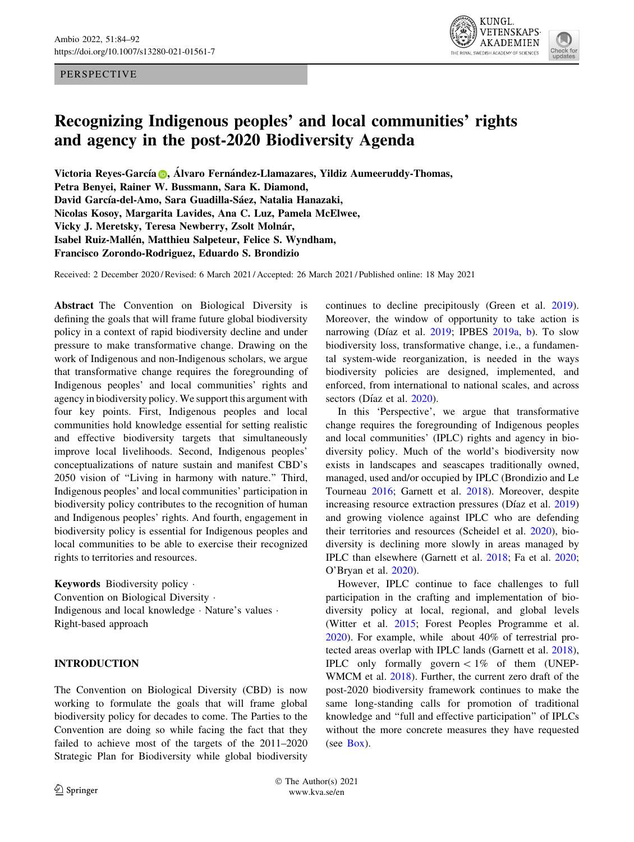#### PERSPECTIVE



# Recognizing Indigenous peoples' and local communities' rights and agency in the post-2020 Biodiversity Agenda

Victori[a](http://orcid.org/0000-0002-2914-8055) Reyes-García D, Álvaro Fernández-Llamazares, Yildiz Aumeeruddy-Thomas, Petra Benyei, Rainer W. Bussmann, Sara K. Diamond, David García-del-Amo, Sara Guadilla-Sáez, Natalia Hanazaki, Nicolas Kosoy, Margarita Lavides, Ana C. Luz, Pamela McElwee, Vicky J. Meretsky, Teresa Newberry, Zsolt Molnár, Isabel Ruiz-Mallén, Matthieu Salpeteur, Felice S. Wyndham, Francisco Zorondo-Rodriguez, Eduardo S. Brondizio

Received: 2 December 2020 / Revised: 6 March 2021 / Accepted: 26 March 2021 / Published online: 18 May 2021

Abstract The Convention on Biological Diversity is defining the goals that will frame future global biodiversity policy in a context of rapid biodiversity decline and under pressure to make transformative change. Drawing on the work of Indigenous and non-Indigenous scholars, we argue that transformative change requires the foregrounding of Indigenous peoples' and local communities' rights and agency in biodiversity policy. We support this argument with four key points. First, Indigenous peoples and local communities hold knowledge essential for setting realistic and effective biodiversity targets that simultaneously improve local livelihoods. Second, Indigenous peoples' conceptualizations of nature sustain and manifest CBD's 2050 vision of ''Living in harmony with nature.'' Third, Indigenous peoples' and local communities' participation in biodiversity policy contributes to the recognition of human and Indigenous peoples' rights. And fourth, engagement in biodiversity policy is essential for Indigenous peoples and local communities to be able to exercise their recognized rights to territories and resources.

Keywords Biodiversity policy - Convention on Biological Diversity - Indigenous and local knowledge · Nature's values · Right-based approach

## INTRODUCTION

The Convention on Biological Diversity (CBD) is now working to formulate the goals that will frame global biodiversity policy for decades to come. The Parties to the Convention are doing so while facing the fact that they failed to achieve most of the targets of the 2011–2020 Strategic Plan for Biodiversity while global biodiversity continues to decline precipitously (Green et al. [2019](#page-5-0)). Moreover, the window of opportunity to take action is narrowing (Díaz et al. [2019](#page-5-0); IPBES [2019a,](#page-5-0) [b\)](#page-5-0). To slow biodiversity loss, transformative change, i.e., a fundamental system-wide reorganization, is needed in the ways biodiversity policies are designed, implemented, and enforced, from international to national scales, and across sectors (Díaz et al. [2020](#page-5-0)).

In this 'Perspective', we argue that transformative change requires the foregrounding of Indigenous peoples and local communities' (IPLC) rights and agency in biodiversity policy. Much of the world's biodiversity now exists in landscapes and seascapes traditionally owned, managed, used and/or occupied by IPLC (Brondizio and Le Tourneau [2016](#page-4-0); Garnett et al. [2018](#page-5-0)). Moreover, despite increasing resource extraction pressures (Díaz et al. [2019\)](#page-5-0) and growing violence against IPLC who are defending their territories and resources (Scheidel et al. [2020](#page-6-0)), biodiversity is declining more slowly in areas managed by IPLC than elsewhere (Garnett et al. [2018](#page-5-0); Fa et al. [2020](#page-5-0); O'Bryan et al. [2020](#page-6-0)).

However, IPLC continue to face challenges to full participation in the crafting and implementation of biodiversity policy at local, regional, and global levels (Witter et al. [2015;](#page-6-0) Forest Peoples Programme et al. [2020](#page-5-0)). For example, while about 40% of terrestrial protected areas overlap with IPLC lands (Garnett et al. [2018](#page-5-0)), IPLC only formally govern  $\lt 1\%$  of them (UNEP-WMCM et al. [2018\)](#page-6-0). Further, the current zero draft of the post-2020 biodiversity framework continues to make the same long-standing calls for promotion of traditional knowledge and ''full and effective participation'' of IPLCs without the more concrete measures they have requested (see [Box\)](#page-1-0).

 The Author(s) 2021 www.kva.se/en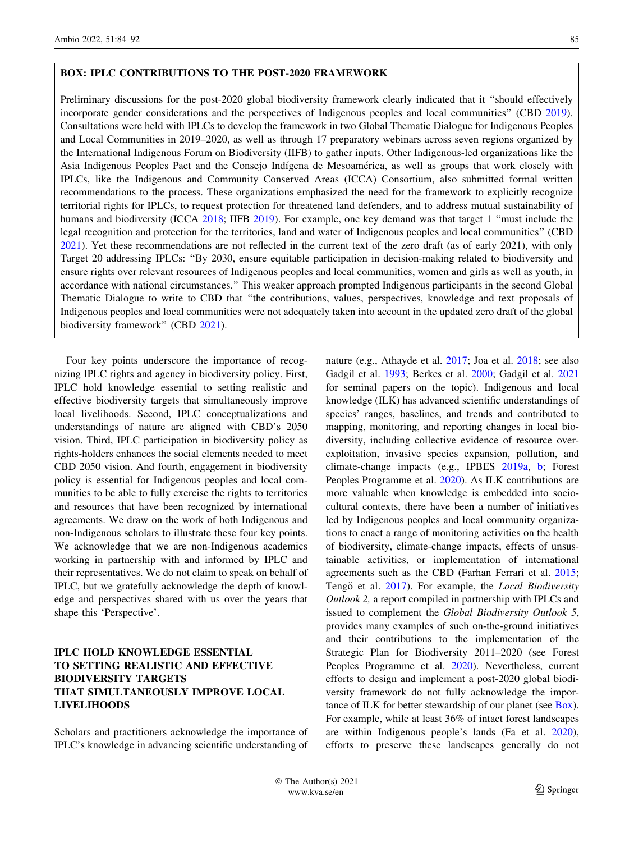#### <span id="page-1-0"></span>BOX: IPLC CONTRIBUTIONS TO THE POST-2020 FRAMEWORK

Preliminary discussions for the post-2020 global biodiversity framework clearly indicated that it ''should effectively incorporate gender considerations and the perspectives of Indigenous peoples and local communities'' (CBD [2019\)](#page-4-0). Consultations were held with IPLCs to develop the framework in two Global Thematic Dialogue for Indigenous Peoples and Local Communities in 2019–2020, as well as through 17 preparatory webinars across seven regions organized by the International Indigenous Forum on Biodiversity (IIFB) to gather inputs. Other Indigenous-led organizations like the Asia Indigenous Peoples Pact and the Consejo Indígena de Mesoamérica, as well as groups that work closely with IPLCs, like the Indigenous and Community Conserved Areas (ICCA) Consortium, also submitted formal written recommendations to the process. These organizations emphasized the need for the framework to explicitly recognize territorial rights for IPLCs, to request protection for threatened land defenders, and to address mutual sustainability of humans and biodiversity (ICCA [2018](#page-5-0); IIFB [2019](#page-5-0)). For example, one key demand was that target 1 "must include the legal recognition and protection for the territories, land and water of Indigenous peoples and local communities'' (CBD [2021\)](#page-4-0). Yet these recommendations are not reflected in the current text of the zero draft (as of early 2021), with only Target 20 addressing IPLCs: ''By 2030, ensure equitable participation in decision-making related to biodiversity and ensure rights over relevant resources of Indigenous peoples and local communities, women and girls as well as youth, in accordance with national circumstances.'' This weaker approach prompted Indigenous participants in the second Global Thematic Dialogue to write to CBD that ''the contributions, values, perspectives, knowledge and text proposals of Indigenous peoples and local communities were not adequately taken into account in the updated zero draft of the global biodiversity framework'' (CBD [2021\)](#page-4-0).

Four key points underscore the importance of recognizing IPLC rights and agency in biodiversity policy. First, IPLC hold knowledge essential to setting realistic and effective biodiversity targets that simultaneously improve local livelihoods. Second, IPLC conceptualizations and understandings of nature are aligned with CBD's 2050 vision. Third, IPLC participation in biodiversity policy as rights-holders enhances the social elements needed to meet CBD 2050 vision. And fourth, engagement in biodiversity policy is essential for Indigenous peoples and local communities to be able to fully exercise the rights to territories and resources that have been recognized by international agreements. We draw on the work of both Indigenous and non-Indigenous scholars to illustrate these four key points. We acknowledge that we are non-Indigenous academics working in partnership with and informed by IPLC and their representatives. We do not claim to speak on behalf of IPLC, but we gratefully acknowledge the depth of knowledge and perspectives shared with us over the years that shape this 'Perspective'.

## IPLC HOLD KNOWLEDGE ESSENTIAL TO SETTING REALISTIC AND EFFECTIVE BIODIVERSITY TARGETS THAT SIMULTANEOUSLY IMPROVE LOCAL LIVELIHOODS

Scholars and practitioners acknowledge the importance of IPLC's knowledge in advancing scientific understanding of nature (e.g., Athayde et al. [2017](#page-4-0); Joa et al. [2018;](#page-5-0) see also Gadgil et al. [1993](#page-5-0); Berkes et al. [2000;](#page-4-0) Gadgil et al. [2021](#page-5-0) for seminal papers on the topic). Indigenous and local knowledge (ILK) has advanced scientific understandings of species' ranges, baselines, and trends and contributed to mapping, monitoring, and reporting changes in local biodiversity, including collective evidence of resource overexploitation, invasive species expansion, pollution, and climate-change impacts (e.g., IPBES [2019a](#page-5-0), [b](#page-5-0); Forest Peoples Programme et al. [2020](#page-5-0)). As ILK contributions are more valuable when knowledge is embedded into sociocultural contexts, there have been a number of initiatives led by Indigenous peoples and local community organizations to enact a range of monitoring activities on the health of biodiversity, climate-change impacts, effects of unsustainable activities, or implementation of international agreements such as the CBD (Farhan Ferrari et al. [2015](#page-5-0); Tengö et al. [2017](#page-6-0)). For example, the Local Biodiversity Outlook 2, a report compiled in partnership with IPLCs and issued to complement the Global Biodiversity Outlook 5, provides many examples of such on-the-ground initiatives and their contributions to the implementation of the Strategic Plan for Biodiversity 2011–2020 (see Forest Peoples Programme et al. [2020](#page-5-0)). Nevertheless, current efforts to design and implement a post-2020 global biodiversity framework do not fully acknowledge the importance of ILK for better stewardship of our planet (see Box). For example, while at least 36% of intact forest landscapes are within Indigenous people's lands (Fa et al. [2020](#page-5-0)), efforts to preserve these landscapes generally do not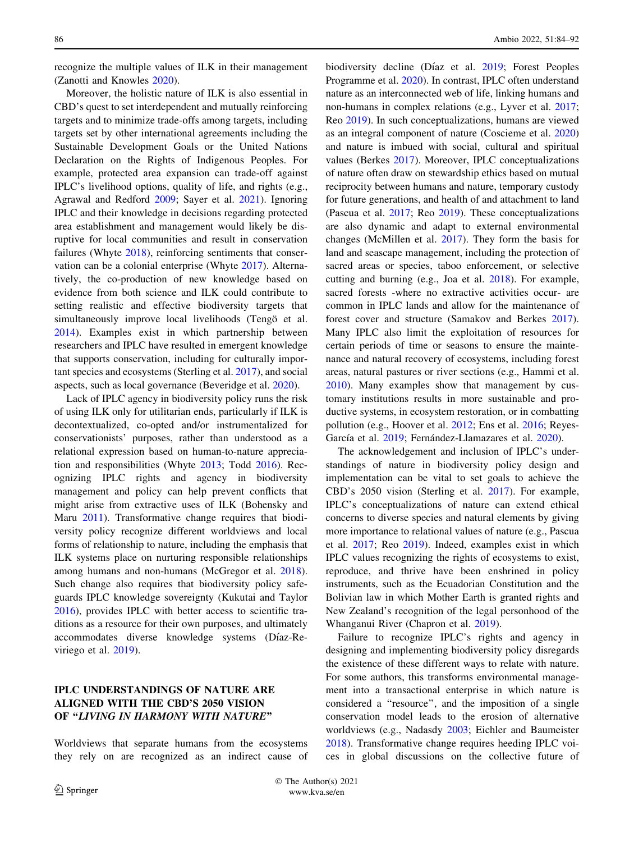recognize the multiple values of ILK in their management (Zanotti and Knowles [2020](#page-6-0)).

Moreover, the holistic nature of ILK is also essential in CBD's quest to set interdependent and mutually reinforcing targets and to minimize trade-offs among targets, including targets set by other international agreements including the Sustainable Development Goals or the United Nations Declaration on the Rights of Indigenous Peoples. For example, protected area expansion can trade-off against IPLC's livelihood options, quality of life, and rights (e.g., Agrawal and Redford [2009](#page-4-0); Sayer et al. [2021\)](#page-6-0). Ignoring IPLC and their knowledge in decisions regarding protected area establishment and management would likely be disruptive for local communities and result in conservation failures (Whyte [2018\)](#page-6-0), reinforcing sentiments that conservation can be a colonial enterprise (Whyte [2017\)](#page-6-0). Alternatively, the co-production of new knowledge based on evidence from both science and ILK could contribute to setting realistic and effective biodiversity targets that simultaneously improve local livelihoods (Tengö et al. [2014\)](#page-6-0). Examples exist in which partnership between researchers and IPLC have resulted in emergent knowledge that supports conservation, including for culturally important species and ecosystems (Sterling et al. [2017](#page-6-0)), and social aspects, such as local governance (Beveridge et al. [2020](#page-4-0)).

Lack of IPLC agency in biodiversity policy runs the risk of using ILK only for utilitarian ends, particularly if ILK is decontextualized, co-opted and/or instrumentalized for conservationists' purposes, rather than understood as a relational expression based on human-to-nature appreciation and responsibilities (Whyte [2013](#page-6-0); Todd [2016](#page-6-0)). Recognizing IPLC rights and agency in biodiversity management and policy can help prevent conflicts that might arise from extractive uses of ILK (Bohensky and Maru [2011\)](#page-4-0). Transformative change requires that biodiversity policy recognize different worldviews and local forms of relationship to nature, including the emphasis that ILK systems place on nurturing responsible relationships among humans and non-humans (McGregor et al. [2018](#page-6-0)). Such change also requires that biodiversity policy safeguards IPLC knowledge sovereignty (Kukutai and Taylor [2016\)](#page-5-0), provides IPLC with better access to scientific traditions as a resource for their own purposes, and ultimately accommodates diverse knowledge systems (Díaz-Reviriego et al. [2019](#page-5-0)).

## IPLC UNDERSTANDINGS OF NATURE ARE ALIGNED WITH THE CBD'S 2050 VISION OF "LIVING IN HARMONY WITH NATURE"

Worldviews that separate humans from the ecosystems they rely on are recognized as an indirect cause of biodiversity decline (Díaz et al. [2019](#page-5-0); Forest Peoples Programme et al. [2020](#page-5-0)). In contrast, IPLC often understand nature as an interconnected web of life, linking humans and non-humans in complex relations (e.g., Lyver et al. [2017](#page-5-0); Reo [2019](#page-6-0)). In such conceptualizations, humans are viewed as an integral component of nature (Coscieme et al. [2020\)](#page-4-0) and nature is imbued with social, cultural and spiritual values (Berkes [2017\)](#page-4-0). Moreover, IPLC conceptualizations of nature often draw on stewardship ethics based on mutual reciprocity between humans and nature, temporary custody for future generations, and health of and attachment to land (Pascua et al. [2017;](#page-6-0) Reo [2019](#page-6-0)). These conceptualizations are also dynamic and adapt to external environmental changes (McMillen et al. [2017\)](#page-6-0). They form the basis for land and seascape management, including the protection of sacred areas or species, taboo enforcement, or selective cutting and burning (e.g., Joa et al. [2018\)](#page-5-0). For example, sacred forests -where no extractive activities occur- are common in IPLC lands and allow for the maintenance of forest cover and structure (Samakov and Berkes [2017](#page-6-0)). Many IPLC also limit the exploitation of resources for certain periods of time or seasons to ensure the maintenance and natural recovery of ecosystems, including forest areas, natural pastures or river sections (e.g., Hammi et al. [2010](#page-5-0)). Many examples show that management by customary institutions results in more sustainable and productive systems, in ecosystem restoration, or in combatting pollution (e.g., Hoover et al. [2012](#page-5-0); Ens et al. [2016;](#page-5-0) Reyes-García et al. [2019;](#page-6-0) Fernández-Llamazares et al. [2020](#page-5-0)).

The acknowledgement and inclusion of IPLC's understandings of nature in biodiversity policy design and implementation can be vital to set goals to achieve the CBD's 2050 vision (Sterling et al. [2017\)](#page-6-0). For example, IPLC's conceptualizations of nature can extend ethical concerns to diverse species and natural elements by giving more importance to relational values of nature (e.g., Pascua et al. [2017](#page-6-0); Reo [2019\)](#page-6-0). Indeed, examples exist in which IPLC values recognizing the rights of ecosystems to exist, reproduce, and thrive have been enshrined in policy instruments, such as the Ecuadorian Constitution and the Bolivian law in which Mother Earth is granted rights and New Zealand's recognition of the legal personhood of the Whanganui River (Chapron et al. [2019\)](#page-4-0).

Failure to recognize IPLC's rights and agency in designing and implementing biodiversity policy disregards the existence of these different ways to relate with nature. For some authors, this transforms environmental management into a transactional enterprise in which nature is considered a ''resource'', and the imposition of a single conservation model leads to the erosion of alternative worldviews (e.g., Nadasdy [2003](#page-6-0); Eichler and Baumeister [2018](#page-5-0)). Transformative change requires heeding IPLC voices in global discussions on the collective future of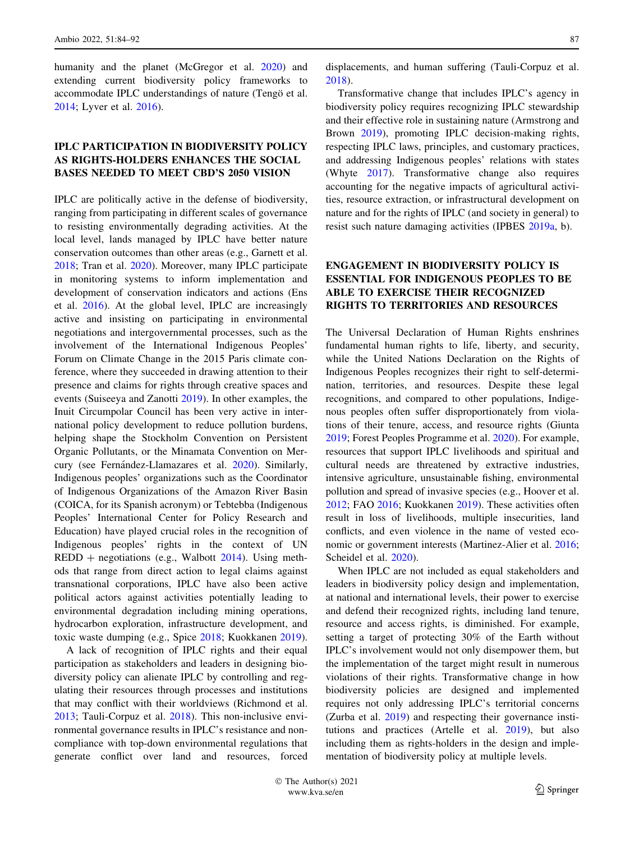humanity and the planet (McGregor et al. [2020](#page-6-0)) and extending current biodiversity policy frameworks to accommodate IPLC understandings of nature (Tengö et al. [2014;](#page-6-0) Lyver et al. [2016](#page-5-0)).

### IPLC PARTICIPATION IN BIODIVERSITY POLICY AS RIGHTS-HOLDERS ENHANCES THE SOCIAL BASES NEEDED TO MEET CBD'S 2050 VISION

IPLC are politically active in the defense of biodiversity, ranging from participating in different scales of governance to resisting environmentally degrading activities. At the local level, lands managed by IPLC have better nature conservation outcomes than other areas (e.g., Garnett et al. [2018;](#page-5-0) Tran et al. [2020](#page-6-0)). Moreover, many IPLC participate in monitoring systems to inform implementation and development of conservation indicators and actions (Ens et al. [2016\)](#page-5-0). At the global level, IPLC are increasingly active and insisting on participating in environmental negotiations and intergovernmental processes, such as the involvement of the International Indigenous Peoples' Forum on Climate Change in the 2015 Paris climate conference, where they succeeded in drawing attention to their presence and claims for rights through creative spaces and events (Suiseeya and Zanotti [2019](#page-6-0)). In other examples, the Inuit Circumpolar Council has been very active in international policy development to reduce pollution burdens, helping shape the Stockholm Convention on Persistent Organic Pollutants, or the Minamata Convention on Mer-cury (see Fernández-Llamazares et al. [2020](#page-5-0)). Similarly, Indigenous peoples' organizations such as the Coordinator of Indigenous Organizations of the Amazon River Basin (COICA, for its Spanish acronym) or Tebtebba (Indigenous Peoples' International Center for Policy Research and Education) have played crucial roles in the recognition of Indigenous peoples' rights in the context of UN  $REDD + negotiations (e.g., Walbott 2014). Using meth REDD + negotiations (e.g., Walbott 2014). Using meth REDD + negotiations (e.g., Walbott 2014). Using meth$ ods that range from direct action to legal claims against transnational corporations, IPLC have also been active political actors against activities potentially leading to environmental degradation including mining operations, hydrocarbon exploration, infrastructure development, and toxic waste dumping (e.g., Spice [2018](#page-6-0); Kuokkanen [2019](#page-5-0)).

A lack of recognition of IPLC rights and their equal participation as stakeholders and leaders in designing biodiversity policy can alienate IPLC by controlling and regulating their resources through processes and institutions that may conflict with their worldviews (Richmond et al. [2013;](#page-6-0) Tauli-Corpuz et al. [2018](#page-6-0)). This non-inclusive environmental governance results in IPLC's resistance and noncompliance with top-down environmental regulations that generate conflict over land and resources, forced displacements, and human suffering (Tauli-Corpuz et al. [2018](#page-6-0)).

Transformative change that includes IPLC's agency in biodiversity policy requires recognizing IPLC stewardship and their effective role in sustaining nature (Armstrong and Brown [2019](#page-4-0)), promoting IPLC decision-making rights, respecting IPLC laws, principles, and customary practices, and addressing Indigenous peoples' relations with states (Whyte [2017\)](#page-6-0). Transformative change also requires accounting for the negative impacts of agricultural activities, resource extraction, or infrastructural development on nature and for the rights of IPLC (and society in general) to resist such nature damaging activities (IPBES [2019a](#page-5-0), b).

## ENGAGEMENT IN BIODIVERSITY POLICY IS ESSENTIAL FOR INDIGENOUS PEOPLES TO BE ABLE TO EXERCISE THEIR RECOGNIZED RIGHTS TO TERRITORIES AND RESOURCES

The Universal Declaration of Human Rights enshrines fundamental human rights to life, liberty, and security, while the United Nations Declaration on the Rights of Indigenous Peoples recognizes their right to self-determination, territories, and resources. Despite these legal recognitions, and compared to other populations, Indigenous peoples often suffer disproportionately from violations of their tenure, access, and resource rights (Giunta [2019](#page-5-0); Forest Peoples Programme et al. [2020](#page-5-0)). For example, resources that support IPLC livelihoods and spiritual and cultural needs are threatened by extractive industries, intensive agriculture, unsustainable fishing, environmental pollution and spread of invasive species (e.g., Hoover et al. [2012](#page-5-0); FAO [2016](#page-5-0); Kuokkanen [2019](#page-5-0)). These activities often result in loss of livelihoods, multiple insecurities, land conflicts, and even violence in the name of vested economic or government interests (Martinez-Alier et al. [2016](#page-5-0); Scheidel et al. [2020\)](#page-6-0).

When IPLC are not included as equal stakeholders and leaders in biodiversity policy design and implementation, at national and international levels, their power to exercise and defend their recognized rights, including land tenure, resource and access rights, is diminished. For example, setting a target of protecting 30% of the Earth without IPLC's involvement would not only disempower them, but the implementation of the target might result in numerous violations of their rights. Transformative change in how biodiversity policies are designed and implemented requires not only addressing IPLC's territorial concerns (Zurba et al. [2019\)](#page-6-0) and respecting their governance institutions and practices (Artelle et al. [2019](#page-4-0)), but also including them as rights-holders in the design and implementation of biodiversity policy at multiple levels.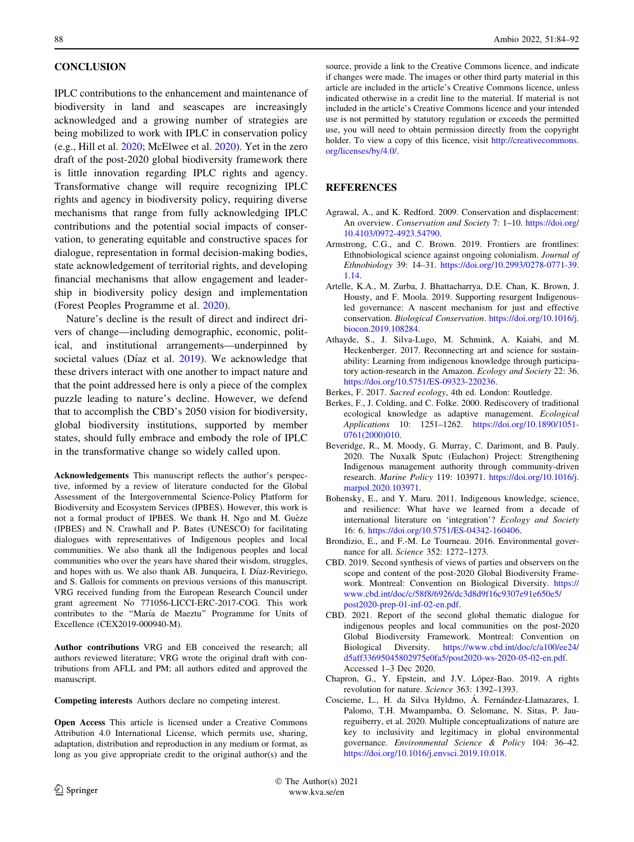#### <span id="page-4-0"></span>**CONCLUSION**

IPLC contributions to the enhancement and maintenance of biodiversity in land and seascapes are increasingly acknowledged and a growing number of strategies are being mobilized to work with IPLC in conservation policy (e.g., Hill et al. [2020;](#page-5-0) McElwee et al. [2020\)](#page-5-0). Yet in the zero draft of the post-2020 global biodiversity framework there is little innovation regarding IPLC rights and agency. Transformative change will require recognizing IPLC rights and agency in biodiversity policy, requiring diverse mechanisms that range from fully acknowledging IPLC contributions and the potential social impacts of conservation, to generating equitable and constructive spaces for dialogue, representation in formal decision-making bodies, state acknowledgement of territorial rights, and developing financial mechanisms that allow engagement and leadership in biodiversity policy design and implementation (Forest Peoples Programme et al. [2020\)](#page-5-0).

Nature's decline is the result of direct and indirect drivers of change—including demographic, economic, political, and institutional arrangements—underpinned by societal values (Díaz et al.  $2019$ ). We acknowledge that these drivers interact with one another to impact nature and that the point addressed here is only a piece of the complex puzzle leading to nature's decline. However, we defend that to accomplish the CBD's 2050 vision for biodiversity, global biodiversity institutions, supported by member states, should fully embrace and embody the role of IPLC in the transformative change so widely called upon.

Acknowledgements This manuscript reflects the author's perspective, informed by a review of literature conducted for the Global Assessment of the Intergovernmental Science-Policy Platform for Biodiversity and Ecosystem Services (IPBES). However, this work is not a formal product of IPBES. We thank H. Ngo and M. Guèze (IPBES) and N. Crawhall and P. Bates (UNESCO) for facilitating dialogues with representatives of Indigenous peoples and local communities. We also thank all the Indigenous peoples and local communities who over the years have shared their wisdom, struggles, and hopes with us. We also thank AB. Junqueira, I. Díaz-Reviriego, and S. Gallois for comments on previous versions of this manuscript. VRG received funding from the European Research Council under grant agreement No 771056-LICCI-ERC-2017-COG. This work contributes to the "María de Maeztu" Programme for Units of Excellence (CEX2019-000940-M).

Author contributions VRG and EB conceived the research; all authors reviewed literature; VRG wrote the original draft with contributions from AFLL and PM; all authors edited and approved the manuscript.

Competing interests Authors declare no competing interest.

Open Access This article is licensed under a Creative Commons Attribution 4.0 International License, which permits use, sharing, adaptation, distribution and reproduction in any medium or format, as long as you give appropriate credit to the original author(s) and the

source, provide a link to the Creative Commons licence, and indicate if changes were made. The images or other third party material in this article are included in the article's Creative Commons licence, unless indicated otherwise in a credit line to the material. If material is not included in the article's Creative Commons licence and your intended use is not permitted by statutory regulation or exceeds the permitted use, you will need to obtain permission directly from the copyright holder. To view a copy of this licence, visit [http://creativecommons.](http://creativecommons.org/licenses/by/4.0/) [org/licenses/by/4.0/.](http://creativecommons.org/licenses/by/4.0/)

#### **REFERENCES**

- Agrawal, A., and K. Redford. 2009. Conservation and displacement: An overview. Conservation and Society 7: 1–10. [https://doi.org/](https://doi.org/10.4103/0972-4923.54790) [10.4103/0972-4923.54790](https://doi.org/10.4103/0972-4923.54790).
- Armstrong, C.G., and C. Brown. 2019. Frontiers are frontlines: Ethnobiological science against ongoing colonialism. Journal of Ethnobiology 39: 14–31. [https://doi.org/10.2993/0278-0771-39.](https://doi.org/10.2993/0278-0771-39.1.14) [1.14.](https://doi.org/10.2993/0278-0771-39.1.14)
- Artelle, K.A., M. Zurba, J. Bhattacharrya, D.E. Chan, K. Brown, J. Housty, and F. Moola. 2019. Supporting resurgent Indigenousled governance: A nascent mechanism for just and effective conservation. Biological Conservation. [https://doi.org/10.1016/j.](https://doi.org/10.1016/j.biocon.2019.108284) [biocon.2019.108284.](https://doi.org/10.1016/j.biocon.2019.108284)
- Athayde, S., J. Silva-Lugo, M. Schmink, A. Kaiabi, and M. Heckenberger. 2017. Reconnecting art and science for sustainability: Learning from indigenous knowledge through participatory action-research in the Amazon. Ecology and Society 22: 36. <https://doi.org/10.5751/ES-09323-220236>.
- Berkes, F. 2017. Sacred ecology, 4th ed. London: Routledge.
- Berkes, F., J. Colding, and C. Folke. 2000. Rediscovery of traditional ecological knowledge as adaptive management. Ecological Applications 10: 1251–1262. [https://doi.org/10.1890/1051-](https://doi.org/10.1890/1051-0761(2000)010) [0761\(2000\)010](https://doi.org/10.1890/1051-0761(2000)010).
- Beveridge, R., M. Moody, G. Murray, C. Darimont, and B. Pauly. 2020. The Nuxalk Sputc (Eulachon) Project: Strengthening Indigenous management authority through community-driven research. Marine Policy 119: 103971. [https://doi.org/10.1016/j.](https://doi.org/10.1016/j.marpol.2020.103971) [marpol.2020.103971.](https://doi.org/10.1016/j.marpol.2020.103971)
- Bohensky, E., and Y. Maru. 2011. Indigenous knowledge, science, and resilience: What have we learned from a decade of international literature on 'integration'? Ecology and Society 16: 6. <https://doi.org/10.5751/ES-04342-160406>.
- Brondizio, E., and F.-M. Le Tourneau. 2016. Environmental governance for all. Science 352: 1272–1273.
- CBD. 2019. Second synthesis of views of parties and observers on the scope and content of the post-2020 Global Biodiversity Framework. Montreal: Convention on Biological Diversity. [https://](https://www.cbd.int/doc/c/58f8/6926/dc3d8d9f16c9307e91e650e5/post2020-prep-01-inf-02-en.pdf) [www.cbd.int/doc/c/58f8/6926/dc3d8d9f16c9307e91e650e5/](https://www.cbd.int/doc/c/58f8/6926/dc3d8d9f16c9307e91e650e5/post2020-prep-01-inf-02-en.pdf) [post2020-prep-01-inf-02-en.pdf](https://www.cbd.int/doc/c/58f8/6926/dc3d8d9f16c9307e91e650e5/post2020-prep-01-inf-02-en.pdf).
- CBD. 2021. Report of the second global thematic dialogue for indigenous peoples and local communities on the post-2020 Global Biodiversity Framework. Montreal: Convention on Biological Diversity. [https://www.cbd.int/doc/c/a100/ee24/](https://www.cbd.int/doc/c/a100/ee24/d5aff33695045802975e0fa5/post2020-ws-2020-05-02-en.pdf) [d5aff33695045802975e0fa5/post2020-ws-2020-05-02-en.pdf](https://www.cbd.int/doc/c/a100/ee24/d5aff33695045802975e0fa5/post2020-ws-2020-05-02-en.pdf). Accessed 1–3 Dec 2020.
- Chapron, G., Y. Epstein, and J.V. López-Bao. 2019. A rights revolution for nature. Science 363: 1392–1393.
- Coscieme, L., H. da Silva Hyldmo, Á. Fernández-Llamazares, I. Palomo, T.H. Mwampamba, O. Selomane, N. Sitas, P. Jaureguiberry, et al. 2020. Multiple conceptualizations of nature are key to inclusivity and legitimacy in global environmental governance. Environmental Science & Policy 104: 36–42. <https://doi.org/10.1016/j.envsci.2019.10.018>.

 The Author(s) 2021 www.kva.se/en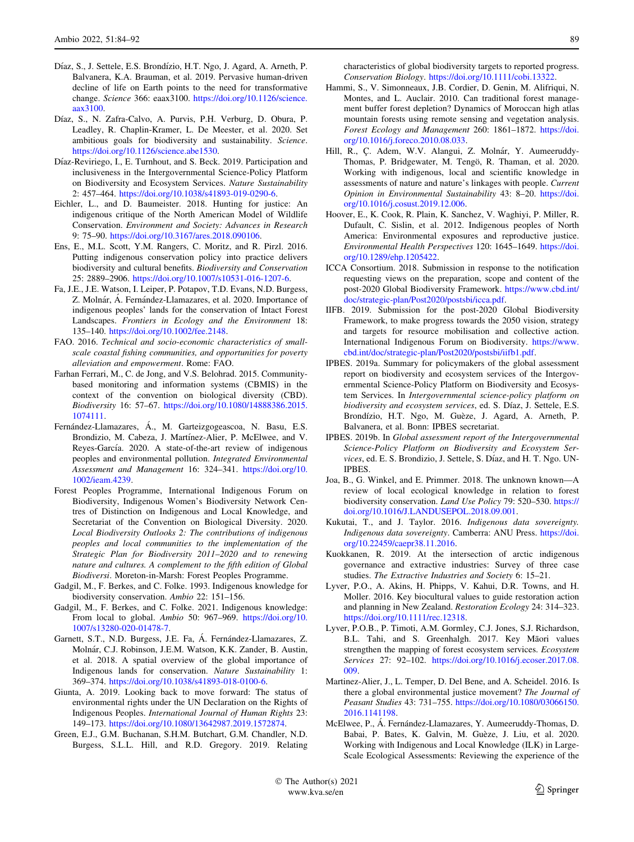- <span id="page-5-0"></span>Díaz, S., J. Settele, E.S. Brondízio, H.T. Ngo, J. Agard, A. Arneth, P. Balvanera, K.A. Brauman, et al. 2019. Pervasive human-driven decline of life on Earth points to the need for transformative change. Science 366: eaax3100. [https://doi.org/10.1126/science.](https://doi.org/10.1126/science.aax3100) [aax3100.](https://doi.org/10.1126/science.aax3100)
- Díaz, S., N. Zafra-Calvo, A. Purvis, P.H. Verburg, D. Obura, P. Leadley, R. Chaplin-Kramer, L. De Meester, et al. 2020. Set ambitious goals for biodiversity and sustainability. Science. <https://doi.org/10.1126/science.abe1530>.
- Díaz-Reviriego, I., E. Turnhout, and S. Beck. 2019. Participation and inclusiveness in the Intergovernmental Science-Policy Platform on Biodiversity and Ecosystem Services. Nature Sustainability 2: 457–464. <https://doi.org/10.1038/s41893-019-0290-6>.
- Eichler, L., and D. Baumeister. 2018. Hunting for justice: An indigenous critique of the North American Model of Wildlife Conservation. Environment and Society: Advances in Research 9: 75–90. <https://doi.org/10.3167/ares.2018.090106>.
- Ens, E., M.L. Scott, Y.M. Rangers, C. Moritz, and R. Pirzl. 2016. Putting indigenous conservation policy into practice delivers biodiversity and cultural benefits. Biodiversity and Conservation 25: 2889–2906. [https://doi.org/10.1007/s10531-016-1207-6.](https://doi.org/10.1007/s10531-016-1207-6)
- Fa, J.E., J.E. Watson, I. Leiper, P. Potapov, T.D. Evans, N.D. Burgess, Z. Molnár, Á. Fernández-Llamazares, et al. 2020. Importance of indigenous peoples' lands for the conservation of Intact Forest Landscapes. Frontiers in Ecology and the Environment 18: 135–140. <https://doi.org/10.1002/fee.2148>.
- FAO. 2016. Technical and socio-economic characteristics of smallscale coastal fishing communities, and opportunities for poverty alleviation and empowerment. Rome: FAO.
- Farhan Ferrari, M., C. de Jong, and V.S. Belohrad. 2015. Communitybased monitoring and information systems (CBMIS) in the context of the convention on biological diversity (CBD). Biodiversity 16: 57–67. [https://doi.org/10.1080/14888386.2015.](https://doi.org/10.1080/14888386.2015.1074111) [1074111.](https://doi.org/10.1080/14888386.2015.1074111)
- Fernández-Llamazares, Á., M. Garteizgogeascoa, N. Basu, E.S. Brondizio, M. Cabeza, J. Martínez-Alier, P. McElwee, and V. Reyes-García. 2020. A state-of-the-art review of indigenous peoples and environmental pollution. Integrated Environmental Assessment and Management 16: 324–341. [https://doi.org/10.](https://doi.org/10.1002/ieam.4239) [1002/ieam.4239](https://doi.org/10.1002/ieam.4239).
- Forest Peoples Programme, International Indigenous Forum on Biodiversity, Indigenous Women's Biodiversity Network Centres of Distinction on Indigenous and Local Knowledge, and Secretariat of the Convention on Biological Diversity. 2020. Local Biodiversity Outlooks 2: The contributions of indigenous peoples and local communities to the implementation of the Strategic Plan for Biodiversity 2011–2020 and to renewing nature and cultures. A complement to the fifth edition of Global Biodiversi. Moreton-in-Marsh: Forest Peoples Programme.
- Gadgil, M., F. Berkes, and C. Folke. 1993. Indigenous knowledge for biodiversity conservation. Ambio 22: 151–156.
- Gadgil, M., F. Berkes, and C. Folke. 2021. Indigenous knowledge: From local to global. Ambio 50: 967–969. [https://doi.org/10.](https://doi.org/10.1007/s13280-020-01478-7) [1007/s13280-020-01478-7](https://doi.org/10.1007/s13280-020-01478-7).
- Garnett, S.T., N.D. Burgess, J.E. Fa, Á. Fernández-Llamazares, Z. Molna´r, C.J. Robinson, J.E.M. Watson, K.K. Zander, B. Austin, et al. 2018. A spatial overview of the global importance of Indigenous lands for conservation. Nature Sustainability 1: 369–374. [https://doi.org/10.1038/s41893-018-0100-6.](https://doi.org/10.1038/s41893-018-0100-6)
- Giunta, A. 2019. Looking back to move forward: The status of environmental rights under the UN Declaration on the Rights of Indigenous Peoples. International Journal of Human Rights 23: 149–173. [https://doi.org/10.1080/13642987.2019.1572874.](https://doi.org/10.1080/13642987.2019.1572874)
- Green, E.J., G.M. Buchanan, S.H.M. Butchart, G.M. Chandler, N.D. Burgess, S.L.L. Hill, and R.D. Gregory. 2019. Relating

characteristics of global biodiversity targets to reported progress. Conservation Biology. <https://doi.org/10.1111/cobi.13322>.

- Hammi, S., V. Simonneaux, J.B. Cordier, D. Genin, M. Alifriqui, N. Montes, and L. Auclair. 2010. Can traditional forest management buffer forest depletion? Dynamics of Moroccan high atlas mountain forests using remote sensing and vegetation analysis. Forest Ecology and Management 260: 1861–1872. [https://doi.](https://doi.org/10.1016/j.foreco.2010.08.033) [org/10.1016/j.foreco.2010.08.033](https://doi.org/10.1016/j.foreco.2010.08.033).
- Hill, R., Ç. Adem, W.V. Alangui, Z. Molnár, Y. Aumeeruddy-Thomas, P. Bridgewater, M. Tengö, R. Thaman, et al. 2020. Working with indigenous, local and scientific knowledge in assessments of nature and nature's linkages with people. Current Opinion in Environmental Sustainability 43: 8–20. [https://doi.](https://doi.org/10.1016/j.cosust.2019.12.006) [org/10.1016/j.cosust.2019.12.006.](https://doi.org/10.1016/j.cosust.2019.12.006)
- Hoover, E., K. Cook, R. Plain, K. Sanchez, V. Waghiyi, P. Miller, R. Dufault, C. Sislin, et al. 2012. Indigenous peoples of North America: Environmental exposures and reproductive justice. Environmental Health Perspectives 120: 1645–1649. [https://doi.](https://doi.org/10.1289/ehp.1205422) [org/10.1289/ehp.1205422.](https://doi.org/10.1289/ehp.1205422)
- ICCA Consortium. 2018. Submission in response to the notification requesting views on the preparation, scope and content of the post-2020 Global Biodiversity Framework. [https://www.cbd.int/](https://www.cbd.int/doc/strategic-plan/Post2020/postsbi/icca.pdf) [doc/strategic-plan/Post2020/postsbi/icca.pdf.](https://www.cbd.int/doc/strategic-plan/Post2020/postsbi/icca.pdf)
- IIFB. 2019. Submission for the post-2020 Global Biodiversity Framework, to make progress towards the 2050 vision, strategy and targets for resource mobilisation and collective action. International Indigenous Forum on Biodiversity. [https://www.](https://www.cbd.int/doc/strategic-plan/Post2020/postsbi/iifb1.pdf) [cbd.int/doc/strategic-plan/Post2020/postsbi/iifb1.pdf.](https://www.cbd.int/doc/strategic-plan/Post2020/postsbi/iifb1.pdf)
- IPBES. 2019a. Summary for policymakers of the global assessment report on biodiversity and ecosystem services of the Intergovernmental Science-Policy Platform on Biodiversity and Ecosystem Services. In Intergovernmental science-policy platform on biodiversity and ecosystem services, ed. S. Díaz, J. Settele, E.S. Brondízio, H.T. Ngo, M. Guèze, J. Agard, A. Arneth, P. Balvanera, et al. Bonn: IPBES secretariat.
- IPBES. 2019b. In Global assessment report of the Intergovernmental Science-Policy Platform on Biodiversity and Ecosystem Services, ed. E. S. Brondizio, J. Settele, S. Díaz, and H. T. Ngo. UN-**IPBES**
- Joa, B., G. Winkel, and E. Primmer. 2018. The unknown known—A review of local ecological knowledge in relation to forest biodiversity conservation. Land Use Policy 79: 520–530. [https://](https://doi.org/10.1016/J.LANDUSEPOL.2018.09.001) [doi.org/10.1016/J.LANDUSEPOL.2018.09.001.](https://doi.org/10.1016/J.LANDUSEPOL.2018.09.001)
- Kukutai, T., and J. Taylor. 2016. Indigenous data sovereignty. Indigenous data sovereignty. Camberra: ANU Press. [https://doi.](https://doi.org/10.22459/caepr38.11.2016) [org/10.22459/caepr38.11.2016.](https://doi.org/10.22459/caepr38.11.2016)
- Kuokkanen, R. 2019. At the intersection of arctic indigenous governance and extractive industries: Survey of three case studies. The Extractive Industries and Society 6: 15–21.
- Lyver, P.O., A. Akins, H. Phipps, V. Kahui, D.R. Towns, and H. Moller. 2016. Key biocultural values to guide restoration action and planning in New Zealand. Restoration Ecology 24: 314–323. <https://doi.org/10.1111/rec.12318>.
- Lyver, P.O.B., P. Timoti, A.M. Gormley, C.J. Jones, S.J. Richardson, B.L. Tahi, and S. Greenhalgh. 2017. Key Māori values strengthen the mapping of forest ecosystem services. Ecosystem Services 27: 92–102. [https://doi.org/10.1016/j.ecoser.2017.08.](https://doi.org/10.1016/j.ecoser.2017.08.009) [009.](https://doi.org/10.1016/j.ecoser.2017.08.009)
- Martinez-Alier, J., L. Temper, D. Del Bene, and A. Scheidel. 2016. Is there a global environmental justice movement? The Journal of Peasant Studies 43: 731–755. [https://doi.org/10.1080/03066150.](https://doi.org/10.1080/03066150.2016.1141198) [2016.1141198.](https://doi.org/10.1080/03066150.2016.1141198)
- McElwee, P., Á. Fernández-Llamazares, Y. Aumeeruddy-Thomas, D. Babai, P. Bates, K. Galvin, M. Guèze, J. Liu, et al. 2020. Working with Indigenous and Local Knowledge (ILK) in Large-Scale Ecological Assessments: Reviewing the experience of the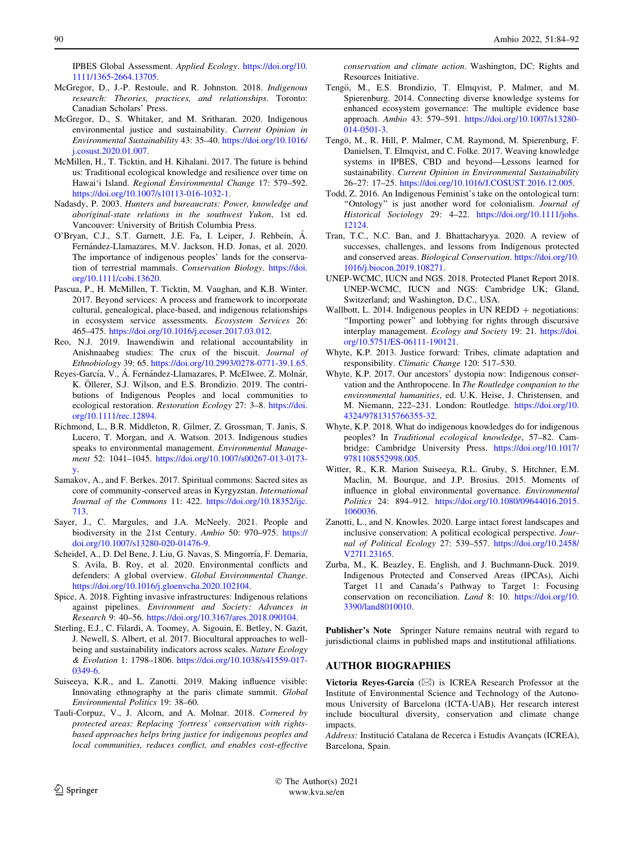<span id="page-6-0"></span>IPBES Global Assessment. Applied Ecology. [https://doi.org/10.](https://doi.org/10.1111/1365-2664.13705) [1111/1365-2664.13705](https://doi.org/10.1111/1365-2664.13705).

- McGregor, D., J.-P. Restoule, and R. Johnston. 2018. Indigenous research: Theories, practices, and relationships. Toronto: Canadian Scholars' Press.
- McGregor, D., S. Whitaker, and M. Sritharan. 2020. Indigenous environmental justice and sustainability. Current Opinion in Environmental Sustainability 43: 35–40. [https://doi.org/10.1016/](https://doi.org/10.1016/j.cosust.2020.01.007) [j.cosust.2020.01.007](https://doi.org/10.1016/j.cosust.2020.01.007).
- McMillen, H., T. Ticktin, and H. Kihalani. 2017. The future is behind us: Traditional ecological knowledge and resilience over time on Hawai'i Island. Regional Environmental Change 17: 579–592. <https://doi.org/10.1007/s10113-016-1032-1>.
- Nadasdy, P. 2003. Hunters and bureaucrats: Power, knowledge and aboriginal-state relations in the southwest Yukon, 1st ed. Vancouver: University of British Columbia Press.
- O'Bryan, C.J., S.T. Garnett, J.E. Fa, I. Leiper, J. Rehbein, Á. Fernández-Llamazares, M.V. Jackson, H.D. Jonas, et al. 2020. The importance of indigenous peoples' lands for the conservation of terrestrial mammals. Conservation Biology. [https://doi.](https://doi.org/10.1111/cobi.13620) [org/10.1111/cobi.13620.](https://doi.org/10.1111/cobi.13620)
- Pascua, P., H. McMillen, T. Ticktin, M. Vaughan, and K.B. Winter. 2017. Beyond services: A process and framework to incorporate cultural, genealogical, place-based, and indigenous relationships in ecosystem service assessments. Ecosystem Services 26: 465–475. <https://doi.org/10.1016/j.ecoser.2017.03.012>.
- Reo, N.J. 2019. Inawendiwin and relational accountability in Anishnaabeg studies: The crux of the biscuit. Journal of Ethnobiology 39: 65. <https://doi.org/10.2993/0278-0771-39.1.65>.
- Reyes-García, V., Á. Fernández-Llamazares, P. McElwee, Z. Molnár, K. Öllerer, S.J. Wilson, and E.S. Brondizio. 2019. The contributions of Indigenous Peoples and local communities to ecological restoration. Restoration Ecology 27: 3–8. [https://doi.](https://doi.org/10.1111/rec.12894) [org/10.1111/rec.12894](https://doi.org/10.1111/rec.12894).
- Richmond, L., B.R. Middleton, R. Gilmer, Z. Grossman, T. Janis, S. Lucero, T. Morgan, and A. Watson. 2013. Indigenous studies speaks to environmental management. Environmental Management 52: 1041–1045. [https://doi.org/10.1007/s00267-013-0173](https://doi.org/10.1007/s00267-013-0173-y) [y](https://doi.org/10.1007/s00267-013-0173-y).
- Samakov, A., and F. Berkes. 2017. Spiritual commons: Sacred sites as core of community-conserved areas in Kyrgyzstan. International Journal of the Commons 11: 422. [https://doi.org/10.18352/ijc.](https://doi.org/10.18352/ijc.713) [713.](https://doi.org/10.18352/ijc.713)
- Sayer, J., C. Margules, and J.A. McNeely. 2021. People and biodiversity in the 21st Century. Ambio 50: 970–975. [https://](https://doi.org/10.1007/s13280-020-01476-9) [doi.org/10.1007/s13280-020-01476-9.](https://doi.org/10.1007/s13280-020-01476-9)
- Scheidel, A., D. Del Bene, J. Liu, G. Navas, S. Mingorría, F. Demaria, S. Avila, B. Roy, et al. 2020. Environmental conflicts and defenders: A global overview. Global Environmental Change. <https://doi.org/10.1016/j.gloenvcha.2020.102104>.
- Spice, A. 2018. Fighting invasive infrastructures: Indigenous relations against pipelines. Environment and Society: Advances in Research 9: 40–56. <https://doi.org/10.3167/ares.2018.090104>.
- Sterling, E.J., C. Filardi, A. Toomey, A. Sigouin, E. Betley, N. Gazit, J. Newell, S. Albert, et al. 2017. Biocultural approaches to wellbeing and sustainability indicators across scales. Nature Ecology & Evolution 1: 1798–1806. [https://doi.org/10.1038/s41559-017-](https://doi.org/10.1038/s41559-017-0349-6) [0349-6](https://doi.org/10.1038/s41559-017-0349-6).
- Suiseeya, K.R., and L. Zanotti. 2019. Making influence visible: Innovating ethnography at the paris climate summit. Global Environmental Politics 19: 38–60.
- Tauli-Corpuz, V., J. Alcorn, and A. Molnar. 2018. Cornered by protected areas: Replacing 'fortress' conservation with rightsbased approaches helps bring justice for indigenous peoples and local communities, reduces conflict, and enables cost-effective

conservation and climate action. Washington, DC: Rights and Resources Initiative.

- Tengö, M., E.S. Brondizio, T. Elmqvist, P. Malmer, and M. Spierenburg. 2014. Connecting diverse knowledge systems for enhanced ecosystem governance: The multiple evidence base approach. Ambio 43: 579–591. [https://doi.org/10.1007/s13280-](https://doi.org/10.1007/s13280-014-0501-3) [014-0501-3.](https://doi.org/10.1007/s13280-014-0501-3)
- Tengö, M., R. Hill, P. Malmer, C.M. Raymond, M. Spierenburg, F. Danielsen, T. Elmqvist, and C. Folke. 2017. Weaving knowledge systems in IPBES, CBD and beyond—Lessons learned for sustainability. Current Opinion in Environmental Sustainability 26–27: 17–25. <https://doi.org/10.1016/J.COSUST.2016.12.005>.
- Todd, Z. 2016. An Indigenous Feminist's take on the ontological turn: "Ontology" is just another word for colonialism. Journal of Historical Sociology 29: 4–22. [https://doi.org/10.1111/johs.](https://doi.org/10.1111/johs.12124) [12124](https://doi.org/10.1111/johs.12124).
- Tran, T.C., N.C. Ban, and J. Bhattacharyya. 2020. A review of successes, challenges, and lessons from Indigenous protected and conserved areas. Biological Conservation. [https://doi.org/10.](https://doi.org/10.1016/j.biocon.2019.108271) [1016/j.biocon.2019.108271.](https://doi.org/10.1016/j.biocon.2019.108271)
- UNEP-WCMC, IUCN and NGS. 2018. Protected Planet Report 2018. UNEP-WCMC, IUCN and NGS: Cambridge UK; Gland, Switzerland; and Washington, D.C., USA.
- Wallbott, L. 2014. Indigenous peoples in UN REDD  $+$  negotiations: ''Importing power'' and lobbying for rights through discursive interplay management. Ecology and Society 19: 21. [https://doi.](https://doi.org/10.5751/ES-06111-190121) [org/10.5751/ES-06111-190121.](https://doi.org/10.5751/ES-06111-190121)
- Whyte, K.P. 2013. Justice forward: Tribes, climate adaptation and responsibility. Climatic Change 120: 517–530.
- Whyte, K.P. 2017. Our ancestors' dystopia now: Indigenous conservation and the Anthropocene. In The Routledge companion to the environmental humanities, ed. U.K. Heise, J. Christensen, and M. Niemann, 222–231. London: Routledge. [https://doi.org/10.](https://doi.org/10.4324/9781315766355-32) [4324/9781315766355-32.](https://doi.org/10.4324/9781315766355-32)
- Whyte, K.P. 2018. What do indigenous knowledges do for indigenous peoples? In Traditional ecological knowledge, 57–82. Cambridge: Cambridge University Press. [https://doi.org/10.1017/](https://doi.org/10.1017/9781108552998.005) [9781108552998.005](https://doi.org/10.1017/9781108552998.005).
- Witter, R., K.R. Marion Suiseeya, R.L. Gruby, S. Hitchner, E.M. Maclin, M. Bourque, and J.P. Brosius. 2015. Moments of influence in global environmental governance. Environmental Politics 24: 894–912. [https://doi.org/10.1080/09644016.2015.](https://doi.org/10.1080/09644016.2015.1060036) [1060036.](https://doi.org/10.1080/09644016.2015.1060036)
- Zanotti, L., and N. Knowles. 2020. Large intact forest landscapes and inclusive conservation: A political ecological perspective. Journal of Political Ecology 27: 539–557. [https://doi.org/10.2458/](https://doi.org/10.2458/V27I1.23165) [V27I1.23165](https://doi.org/10.2458/V27I1.23165).
- Zurba, M., K. Beazley, E. English, and J. Buchmann-Duck. 2019. Indigenous Protected and Conserved Areas (IPCAs), Aichi Target 11 and Canada's Pathway to Target 1: Focusing conservation on reconciliation. Land 8: 10. [https://doi.org/10.](https://doi.org/10.3390/land8010010) [3390/land8010010.](https://doi.org/10.3390/land8010010)

Publisher's Note Springer Nature remains neutral with regard to jurisdictional claims in published maps and institutional affiliations.

## AUTHOR BIOGRAPHIES

Victoria Reyes-García  $(\boxtimes)$  is ICREA Research Professor at the Institute of Environmental Science and Technology of the Autonomous University of Barcelona (ICTA-UAB). Her research interest include biocultural diversity, conservation and climate change impacts.

Address: Institució Catalana de Recerca i Estudis Avançats (ICREA), Barcelona, Spain.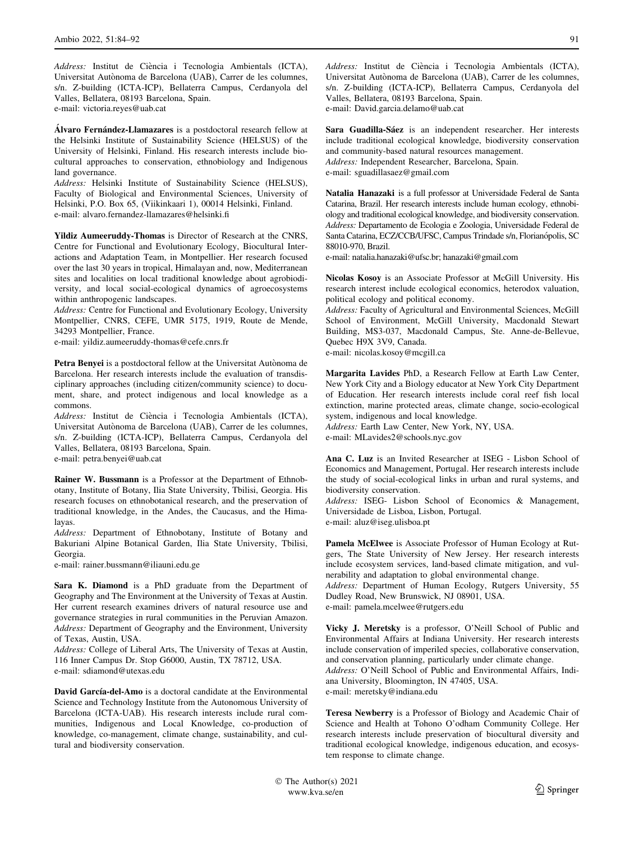Address: Institut de Ciència i Tecnologia Ambientals (ICTA), Universitat Autònoma de Barcelona (UAB), Carrer de les columnes, s/n. Z-building (ICTA-ICP), Bellaterra Campus, Cerdanyola del Valles, Bellatera, 08193 Barcelona, Spain. e-mail: victoria.reyes@uab.cat

Álvaro Fernández-Llamazares is a postdoctoral research fellow at the Helsinki Institute of Sustainability Science (HELSUS) of the University of Helsinki, Finland. His research interests include biocultural approaches to conservation, ethnobiology and Indigenous land governance.

Address: Helsinki Institute of Sustainability Science (HELSUS), Faculty of Biological and Environmental Sciences, University of Helsinki, P.O. Box 65, (Viikinkaari 1), 00014 Helsinki, Finland. e-mail: alvaro.fernandez-llamazares@helsinki.fi

Yildiz Aumeeruddy-Thomas is Director of Research at the CNRS, Centre for Functional and Evolutionary Ecology, Biocultural Interactions and Adaptation Team, in Montpellier. Her research focused over the last 30 years in tropical, Himalayan and, now, Mediterranean sites and localities on local traditional knowledge about agrobiodiversity, and local social-ecological dynamics of agroecosystems within anthropogenic landscapes.

Address: Centre for Functional and Evolutionary Ecology, University Montpellier, CNRS, CEFE, UMR 5175, 1919, Route de Mende, 34293 Montpellier, France.

e-mail: yildiz.aumeeruddy-thomas@cefe.cnrs.fr

Petra Benyei is a postdoctoral fellow at the Universitat Autònoma de Barcelona. Her research interests include the evaluation of transdisciplinary approaches (including citizen/community science) to document, share, and protect indigenous and local knowledge as a commons.

Address: Institut de Ciència i Tecnologia Ambientals (ICTA), Universitat Autònoma de Barcelona (UAB), Carrer de les columnes, s/n. Z-building (ICTA-ICP), Bellaterra Campus, Cerdanyola del Valles, Bellatera, 08193 Barcelona, Spain.

e-mail: petra.benyei@uab.cat

Rainer W. Bussmann is a Professor at the Department of Ethnobotany, Institute of Botany, Ilia State University, Tbilisi, Georgia. His research focuses on ethnobotanical research, and the preservation of traditional knowledge, in the Andes, the Caucasus, and the Himalayas.

Address: Department of Ethnobotany, Institute of Botany and Bakuriani Alpine Botanical Garden, Ilia State University, Tbilisi, Georgia.

e-mail: rainer.bussmann@iliauni.edu.ge

Sara K. Diamond is a PhD graduate from the Department of Geography and The Environment at the University of Texas at Austin. Her current research examines drivers of natural resource use and governance strategies in rural communities in the Peruvian Amazon. Address: Department of Geography and the Environment, University of Texas, Austin, USA.

Address: College of Liberal Arts, The University of Texas at Austin, 116 Inner Campus Dr. Stop G6000, Austin, TX 78712, USA. e-mail: sdiamond@utexas.edu

David García-del-Amo is a doctoral candidate at the Environmental Science and Technology Institute from the Autonomous University of Barcelona (ICTA-UAB). His research interests include rural communities, Indigenous and Local Knowledge, co-production of knowledge, co-management, climate change, sustainability, and cultural and biodiversity conservation.

Address: Institut de Ciència i Tecnologia Ambientals (ICTA), Universitat Autònoma de Barcelona (UAB), Carrer de les columnes, s/n. Z-building (ICTA-ICP), Bellaterra Campus, Cerdanyola del Valles, Bellatera, 08193 Barcelona, Spain.

e-mail: David.garcia.delamo@uab.cat

Sara Guadilla-Sáez is an independent researcher. Her interests include traditional ecological knowledge, biodiversity conservation and community-based natural resources management. Address: Independent Researcher, Barcelona, Spain. e-mail: sguadillasaez@gmail.com

Natalia Hanazaki is a full professor at Universidade Federal de Santa Catarina, Brazil. Her research interests include human ecology, ethnobiology and traditional ecological knowledge, and biodiversity conservation. Address: Departamento de Ecologia e Zoologia, Universidade Federal de Santa Catarina, ECZ/CCB/UFSC, Campus Trindade s/n, Florianópolis, SC 88010-970, Brazil.

e-mail: natalia.hanazaki@ufsc.br; hanazaki@gmail.com

Nicolas Kosoy is an Associate Professor at McGill University. His research interest include ecological economics, heterodox valuation, political ecology and political economy.

Address: Faculty of Agricultural and Environmental Sciences, McGill School of Environment, McGill University, Macdonald Stewart Building, MS3-037, Macdonald Campus, Ste. Anne-de-Bellevue, Quebec H9X 3V9, Canada.

e-mail: nicolas.kosoy@mcgill.ca

Margarita Lavides PhD, a Research Fellow at Earth Law Center, New York City and a Biology educator at New York City Department of Education. Her research interests include coral reef fish local extinction, marine protected areas, climate change, socio-ecological system, indigenous and local knowledge.

Address: Earth Law Center, New York, NY, USA. e-mail: MLavides2@schools.nyc.gov

Ana C. Luz is an Invited Researcher at ISEG - Lisbon School of Economics and Management, Portugal. Her research interests include the study of social-ecological links in urban and rural systems, and biodiversity conservation.

Address: ISEG- Lisbon School of Economics & Management, Universidade de Lisboa, Lisbon, Portugal. e-mail: aluz@iseg.ulisboa.pt

Pamela McElwee is Associate Professor of Human Ecology at Rutgers, The State University of New Jersey. Her research interests include ecosystem services, land-based climate mitigation, and vulnerability and adaptation to global environmental change.

Address: Department of Human Ecology, Rutgers University, 55 Dudley Road, New Brunswick, NJ 08901, USA.

e-mail: pamela.mcelwee@rutgers.edu

Vicky J. Meretsky is a professor, O'Neill School of Public and Environmental Affairs at Indiana University. Her research interests include conservation of imperiled species, collaborative conservation, and conservation planning, particularly under climate change. Address: O'Neill School of Public and Environmental Affairs, Indiana University, Bloomington, IN 47405, USA. e-mail: meretsky@indiana.edu

Teresa Newberry is a Professor of Biology and Academic Chair of Science and Health at Tohono O'odham Community College. Her research interests include preservation of biocultural diversity and traditional ecological knowledge, indigenous education, and ecosystem response to climate change.

© The Author(s) 2021 The Author(s) 2021<br>www.kva.se/en 1233 and 2021